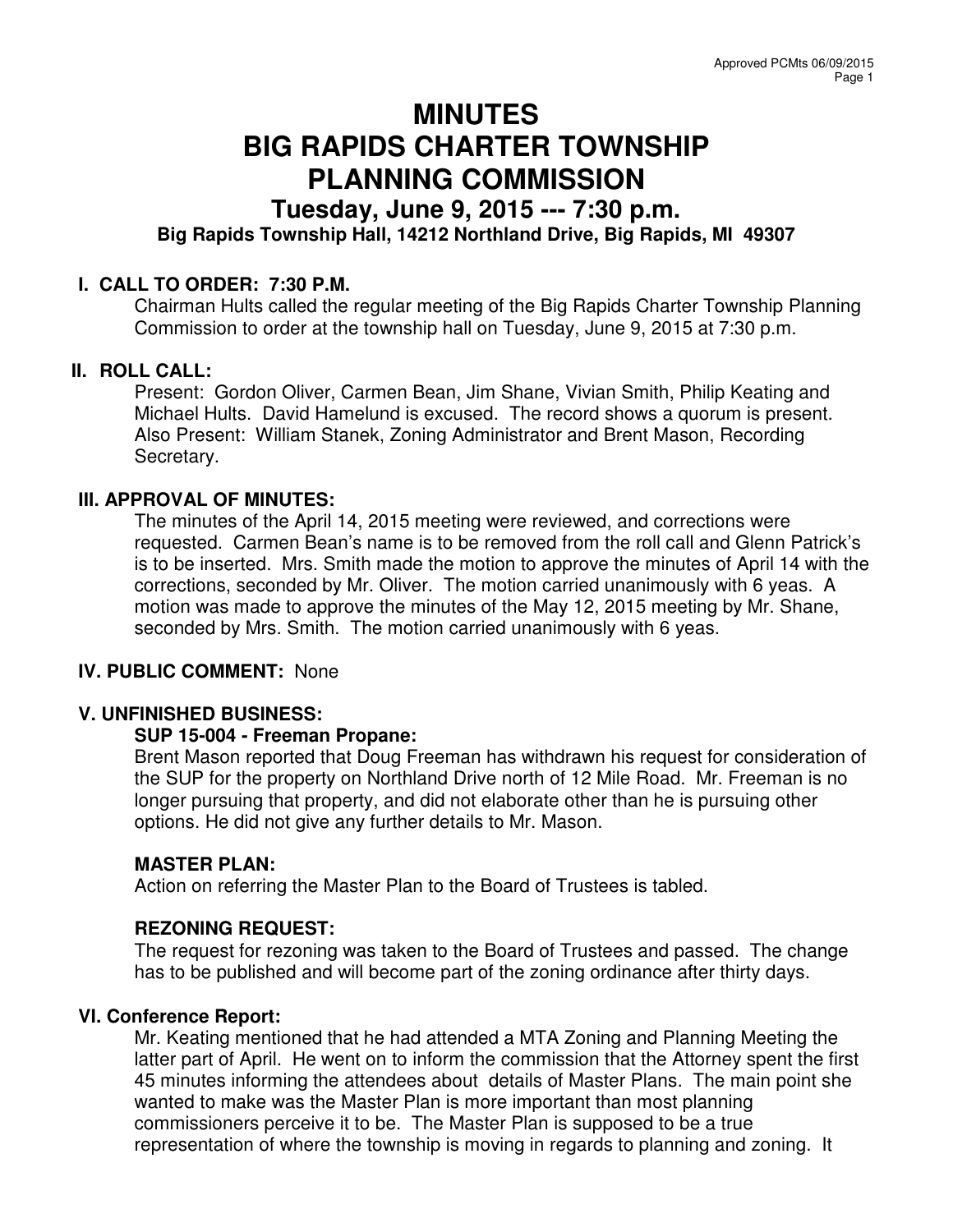# **MINUTES BIG RAPIDS CHARTER TOWNSHIP PLANNING COMMISSION**

# **Tuesday, June 9, 2015 --- 7:30 p.m.**

## **Big Rapids Township Hall, 14212 Northland Drive, Big Rapids, MI 49307**

#### **I. CALL TO ORDER: 7:30 P.M.**

Chairman Hults called the regular meeting of the Big Rapids Charter Township Planning Commission to order at the township hall on Tuesday, June 9, 2015 at 7:30 p.m.

### **II. ROLL CALL:**

Present: Gordon Oliver, Carmen Bean, Jim Shane, Vivian Smith, Philip Keating and Michael Hults. David Hamelund is excused. The record shows a quorum is present. Also Present: William Stanek, Zoning Administrator and Brent Mason, Recording Secretary.

#### **III. APPROVAL OF MINUTES:**

The minutes of the April 14, 2015 meeting were reviewed, and corrections were requested. Carmen Bean's name is to be removed from the roll call and Glenn Patrick's is to be inserted. Mrs. Smith made the motion to approve the minutes of April 14 with the corrections, seconded by Mr. Oliver. The motion carried unanimously with 6 yeas. A motion was made to approve the minutes of the May 12, 2015 meeting by Mr. Shane, seconded by Mrs. Smith. The motion carried unanimously with 6 yeas.

#### **IV. PUBLIC COMMENT:** None

#### **V. UNFINISHED BUSINESS:**

#### **SUP 15-004 - Freeman Propane:**

Brent Mason reported that Doug Freeman has withdrawn his request for consideration of the SUP for the property on Northland Drive north of 12 Mile Road. Mr. Freeman is no longer pursuing that property, and did not elaborate other than he is pursuing other options. He did not give any further details to Mr. Mason.

#### **MASTER PLAN:**

Action on referring the Master Plan to the Board of Trustees is tabled.

#### **REZONING REQUEST:**

The request for rezoning was taken to the Board of Trustees and passed. The change has to be published and will become part of the zoning ordinance after thirty days.

#### **VI. Conference Report:**

Mr. Keating mentioned that he had attended a MTA Zoning and Planning Meeting the latter part of April. He went on to inform the commission that the Attorney spent the first 45 minutes informing the attendees about details of Master Plans. The main point she wanted to make was the Master Plan is more important than most planning commissioners perceive it to be. The Master Plan is supposed to be a true representation of where the township is moving in regards to planning and zoning. It